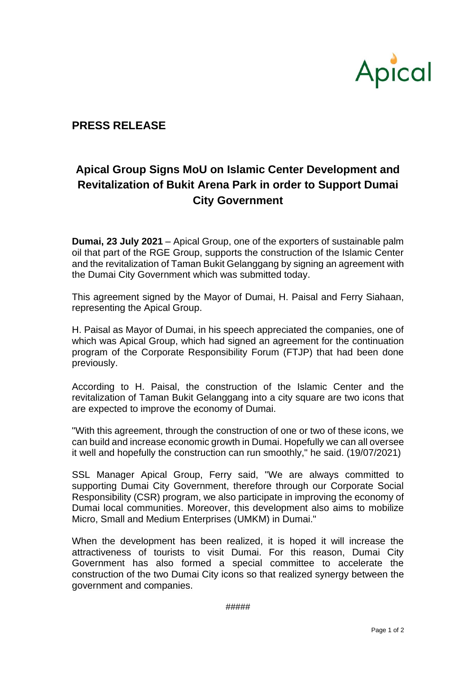

## **PRESS RELEASE**

## **Apical Group Signs MoU on Islamic Center Development and Revitalization of Bukit Arena Park in order to Support Dumai City Government**

**Dumai, 23 July 2021** – Apical Group, one of the exporters of sustainable palm oil that part of the RGE Group, supports the construction of the Islamic Center and the revitalization of Taman Bukit Gelanggang by signing an agreement with the Dumai City Government which was submitted today.

This agreement signed by the Mayor of Dumai, H. Paisal and Ferry Siahaan, representing the Apical Group.

H. Paisal as Mayor of Dumai, in his speech appreciated the companies, one of which was Apical Group, which had signed an agreement for the continuation program of the Corporate Responsibility Forum (FTJP) that had been done previously.

According to H. Paisal, the construction of the Islamic Center and the revitalization of Taman Bukit Gelanggang into a city square are two icons that are expected to improve the economy of Dumai.

"With this agreement, through the construction of one or two of these icons, we can build and increase economic growth in Dumai. Hopefully we can all oversee it well and hopefully the construction can run smoothly," he said. (19/07/2021)

SSL Manager Apical Group, Ferry said, "We are always committed to supporting Dumai City Government, therefore through our Corporate Social Responsibility (CSR) program, we also participate in improving the economy of Dumai local communities. Moreover, this development also aims to mobilize Micro, Small and Medium Enterprises (UMKM) in Dumai."

When the development has been realized, it is hoped it will increase the attractiveness of tourists to visit Dumai. For this reason, Dumai City Government has also formed a special committee to accelerate the construction of the two Dumai City icons so that realized synergy between the government and companies.